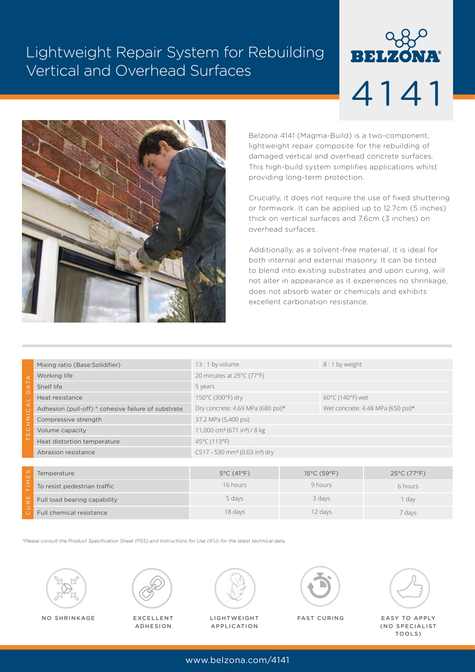# Lightweight Repair System for Rebuilding Vertical and Overhead Surfaces

# **BELZONA** 4141



Belzona 4141 (Magma-Build) is a two-component, lightweight repair composite for the rebuilding of damaged vertical and overhead concrete surfaces. This high-build system simplifies applications whilst providing long-term protection.

Crucially, it does not require the use of fixed shuttering or formwork. It can be applied up to 12.7cm (5 inches) thick on vertical surfaces and 7.6cm (3 inches) on overhead surfaces.

Additionally, as a solvent-free material, it is ideal for both internal and external masonry. It can be tinted to blend into existing substrates and upon curing, will not alter in appearance as it experiences no shrinkage, does not absorb water or chemicals and exhibits excellent carbonation resistance.

| ◁<br>$\cap$<br>$\frac{Z}{I}$<br>ш | Mixing ratio (Base: Solidifier)                     | 13:1 by volume                                         | 8:1 by weight                     |             |             |
|-----------------------------------|-----------------------------------------------------|--------------------------------------------------------|-----------------------------------|-------------|-------------|
|                                   | Working life                                        | 20 minutes at 25°C (77°F)                              |                                   |             |             |
|                                   | Shelf life                                          | 5 years                                                |                                   |             |             |
|                                   | Heat resistance                                     | 150°C (300°F) dry<br>60°C (140°F) wet                  |                                   |             |             |
|                                   | Adhesion (pull-off) * cohesive failure of substrate | Dry concrete: 4.69 MPa (680 psi)*                      | Wet concrete: 4.48 MPa (650 psi)* |             |             |
|                                   | Compressive strength                                | 37.2 MPa (5,400 psi)                                   |                                   |             |             |
|                                   | Volume capacity                                     | 11,000 cm <sup>3</sup> (671 in <sup>3</sup> ) / 8 kg   |                                   |             |             |
|                                   | Heat distortion temperature                         | 45°C (113°F)                                           |                                   |             |             |
|                                   | Abrasion resistance                                 | CS17 - 530 mm <sup>3</sup> (0.03 in <sup>3</sup> ) dry |                                   |             |             |
|                                   |                                                     |                                                        |                                   |             |             |
| U,<br>ш                           | Temperature                                         | $5^{\circ}$ C (41 $^{\circ}$ F)                        |                                   | 15°C (59°F) | 25°C (77°F) |
| Σ<br>Щ<br>$\alpha$<br>⊃           | To resist pedestrian traffic                        | 16 hours                                               | 9 hours                           |             | 6 hours     |
|                                   | Full load bearing capability                        | 5 days                                                 | 3 days                            |             | 1 day       |
|                                   | Full chemical resistance                            | 18 days                                                |                                   | 12 days     | 7 days      |

*\*Please consult the Product Specification Sheet (PSS) and Instructions for Use (IFU) for the latest technical data.*





EXCELLENT ADHESION



NO SHRINKAGE EXCELLENT LIGHTWEIGHT FAST CURING EASY TO APPLY LIGHTWEIGHT APPLICATION

FAST CURING



(NO SPECIALIST TOOLS)